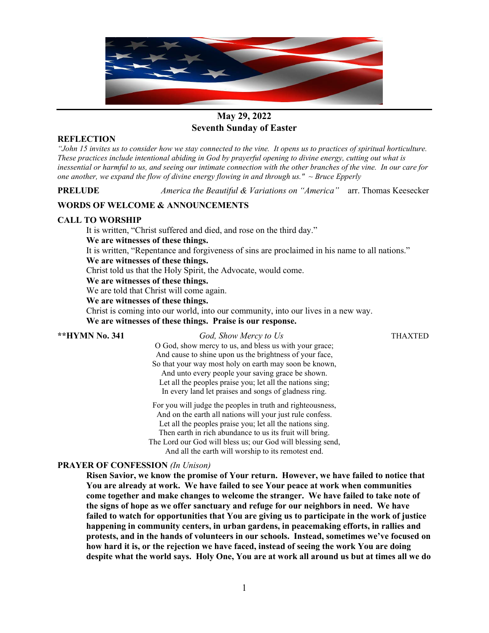

# **May 29, 2022 Seventh Sunday of Easter**

## **REFLECTION**

*"John 15 invites us to consider how we stay connected to the vine. It opens us to practices of spiritual horticulture. These practices include intentional abiding in God by prayerful opening to divine energy, cutting out what is inessential or harmful to us, and seeing our intimate connection with the other branches of the vine. In our care for one another, we expand the flow of divine energy flowing in and through us." ~ Bruce Epperly*

**PRELUDE** *America the Beautiful & Variations on "America"* arr. Thomas Keesecker

# **WORDS OF WELCOME & ANNOUNCEMENTS**

## **CALL TO WORSHIP**

It is written, "Christ suffered and died, and rose on the third day."

## **We are witnesses of these things.**

It is written, "Repentance and forgiveness of sins are proclaimed in his name to all nations."

**We are witnesses of these things.**

Christ told us that the Holy Spirit, the Advocate, would come.

#### **We are witnesses of these things.**

We are told that Christ will come again.

# **We are witnesses of these things.**

Christ is coming into our world, into our community, into our lives in a new way. **We are witnesses of these things. Praise is our response.**

**\*\*HYMN No. 341** *God, Show Mercy to Us* THAXTED

O God, show mercy to us, and bless us with your grace; And cause to shine upon us the brightness of your face, So that your way most holy on earth may soon be known, And unto every people your saving grace be shown. Let all the peoples praise you; let all the nations sing; In every land let praises and songs of gladness ring.

For you will judge the peoples in truth and righteousness, And on the earth all nations will your just rule confess. Let all the peoples praise you; let all the nations sing. Then earth in rich abundance to us its fruit will bring. The Lord our God will bless us; our God will blessing send,

And all the earth will worship to its remotest end.

#### **PRAYER OF CONFESSION** *(In Unison)*

**Risen Savior, we know the promise of Your return. However, we have failed to notice that You are already at work. We have failed to see Your peace at work when communities come together and make changes to welcome the stranger. We have failed to take note of the signs of hope as we offer sanctuary and refuge for our neighbors in need. We have failed to watch for opportunities that You are giving us to participate in the work of justice happening in community centers, in urban gardens, in peacemaking efforts, in rallies and protests, and in the hands of volunteers in our schools. Instead, sometimes we've focused on how hard it is, or the rejection we have faced, instead of seeing the work You are doing despite what the world says. Holy One, You are at work all around us but at times all we do**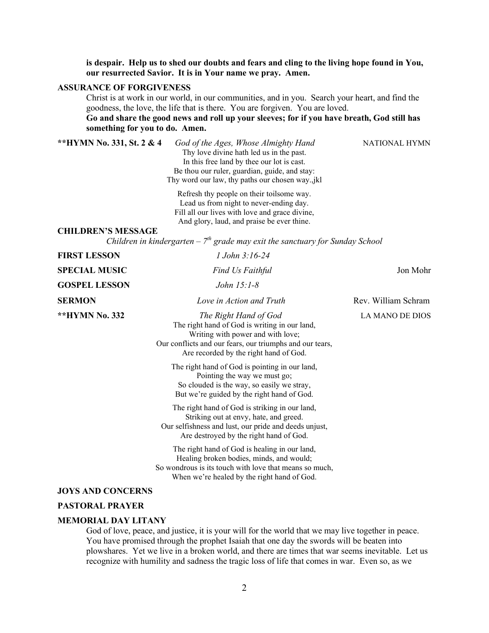**is despair. Help us to shed our doubts and fears and cling to the living hope found in You, our resurrected Savior. It is in Your name we pray. Amen.**

#### **ASSURANCE OF FORGIVENESS**

Christ is at work in our world, in our communities, and in you. Search your heart, and find the goodness, the love, the life that is there. You are forgiven. You are loved.

**Go and share the good news and roll up your sleeves; for if you have breath, God still has something for you to do. Amen.**

**\*\*HYMN No. 331, St. 2 & 4** *God of the Ages, Whose Almighty Hand* NATIONAL HYMNThy love divine hath led us in the past. In this free land by thee our lot is cast. Be thou our ruler, guardian, guide, and stay: Thy word our law, thy paths our chosen way.,jkl Refresh thy people on their toilsome way. Lead us from night to never-ending day. Fill all our lives with love and grace divine, And glory, laud, and praise be ever thine. **CHILDREN'S MESSAGE** *Children in kindergarten – 7th grade may exit the sanctuary for Sunday School* **FIRST LESSON** *1 John 3:16-24* **SPECIAL MUSIC** *Find Us Faithful* Jon Mohr **GOSPEL LESSON** *John 15:1-8* **SERMON** *Love in Action and Truth* Rev. William Schram **\*\*HYMN No. 332** *The Right Hand of God* LA MANO DE DIOS The right hand of God is writing in our land, Writing with power and with love; Our conflicts and our fears, our triumphs and our tears, Are recorded by the right hand of God. The right hand of God is pointing in our land, Pointing the way we must go; So clouded is the way, so easily we stray, But we're guided by the right hand of God. The right hand of God is striking in our land, Striking out at envy, hate, and greed. Our selfishness and lust, our pride and deeds unjust, Are destroyed by the right hand of God. The right hand of God is healing in our land, Healing broken bodies, minds, and would; So wondrous is its touch with love that means so much, When we're healed by the right hand of God. **JOYS AND CONCERNS**

#### **PASTORAL PRAYER**

#### **MEMORIAL DAY LITANY**

God of love, peace, and justice, it is your will for the world that we may live together in peace. You have promised through the prophet Isaiah that one day the swords will be beaten into plowshares. Yet we live in a broken world, and there are times that war seems inevitable. Let us recognize with humility and sadness the tragic loss of life that comes in war. Even so, as we

2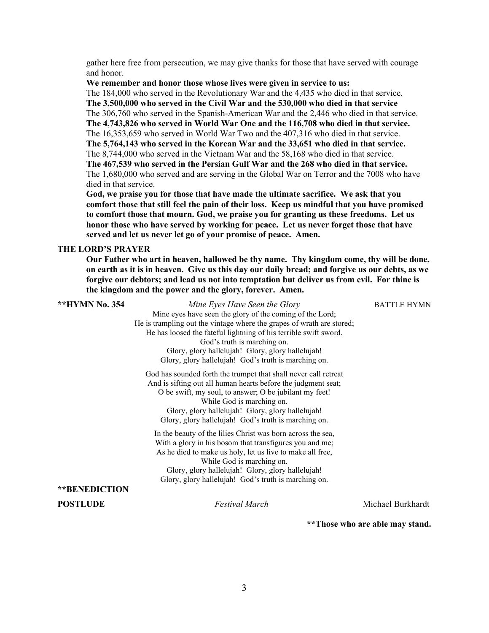gather here free from persecution, we may give thanks for those that have served with courage and honor.

#### **We remember and honor those whose lives were given in service to us:**

The 184,000 who served in the Revolutionary War and the 4,435 who died in that service. **The 3,500,000 who served in the Civil War and the 530,000 who died in that service** The 306,760 who served in the Spanish-American War and the 2,446 who died in that service. **The 4,743,826 who served in World War One and the 116,708 who died in that service.** The 16,353,659 who served in World War Two and the 407,316 who died in that service. **The 5,764,143 who served in the Korean War and the 33,651 who died in that service.** The 8,744,000 who served in the Vietnam War and the 58,168 who died in that service. **The 467,539 who served in the Persian Gulf War and the 268 who died in that service.** The 1,680,000 who served and are serving in the Global War on Terror and the 7008 who have died in that service.

**God, we praise you for those that have made the ultimate sacrifice. We ask that you comfort those that still feel the pain of their loss. Keep us mindful that you have promised to comfort those that mourn. God, we praise you for granting us these freedoms. Let us honor those who have served by working for peace. Let us never forget those that have served and let us never let go of your promise of peace. Amen.**

#### **THE LORD'S PRAYER**

**Our Father who art in heaven, hallowed be thy name. Thy kingdom come, thy will be done, on earth as it is in heaven. Give us this day our daily bread; and forgive us our debts, as we forgive our debtors; and lead us not into temptation but deliver us from evil. For thine is the kingdom and the power and the glory, forever. Amen.**

| **HYMN No. 354       | Mine Eyes Have Seen the Glory                                         | <b>BATTLE HYMN</b> |
|----------------------|-----------------------------------------------------------------------|--------------------|
|                      | Mine eyes have seen the glory of the coming of the Lord;              |                    |
|                      | He is trampling out the vintage where the grapes of wrath are stored; |                    |
|                      | He has loosed the fateful lightning of his terrible swift sword.      |                    |
|                      | God's truth is marching on.                                           |                    |
|                      | Glory, glory hallelujah! Glory, glory hallelujah!                     |                    |
|                      | Glory, glory hallelujah! God's truth is marching on.                  |                    |
|                      | God has sounded forth the trumpet that shall never call retreat       |                    |
|                      | And is sifting out all human hearts before the judgment seat;         |                    |
|                      | O be swift, my soul, to answer; O be jubilant my feet!                |                    |
|                      | While God is marching on.                                             |                    |
|                      | Glory, glory hallelujah! Glory, glory hallelujah!                     |                    |
|                      | Glory, glory hallelujah! God's truth is marching on.                  |                    |
|                      | In the beauty of the lilies Christ was born across the sea,           |                    |
|                      | With a glory in his bosom that transfigures you and me;               |                    |
|                      | As he died to make us holy, let us live to make all free,             |                    |
|                      | While God is marching on.                                             |                    |
|                      | Glory, glory hallelujah! Glory, glory hallelujah!                     |                    |
|                      | Glory, glory hallelujah! God's truth is marching on.                  |                    |
| <b>**BENEDICTION</b> |                                                                       |                    |
| <b>POSTLUDE</b>      | <b>Festival March</b>                                                 | Michael Burkhardt  |

**\*\*Those who are able may stand.**